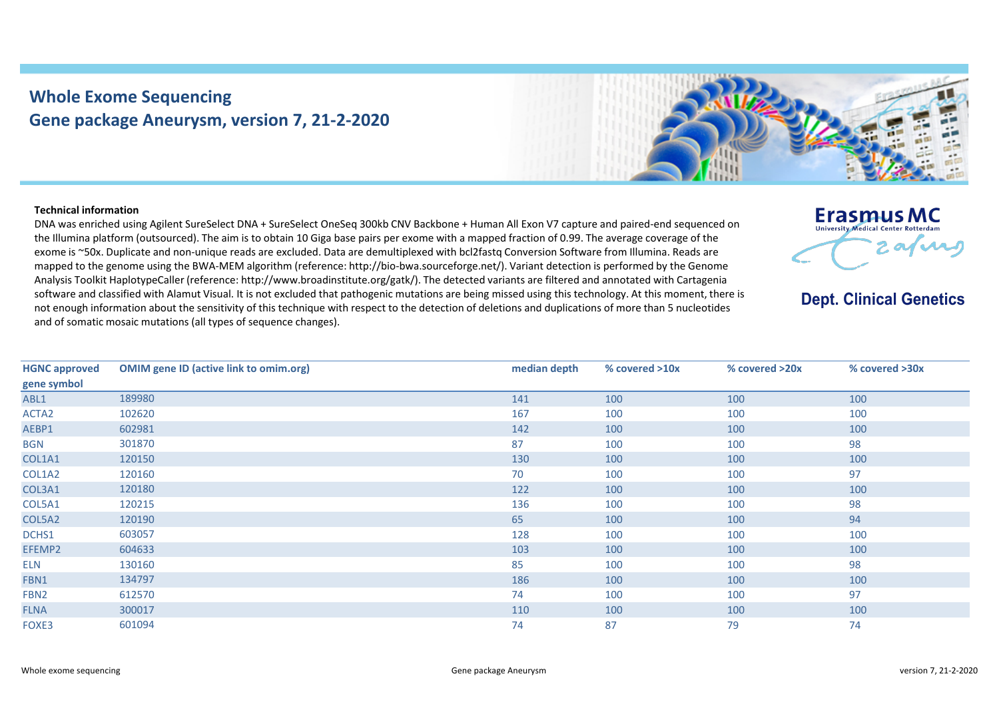## **Whole Exome Sequencing Gene package Aneurysm, version 7, 21-2-2020**



## **Technical information**

DNA was enriched using Agilent SureSelect DNA + SureSelect OneSeq 300kb CNV Backbone + Human All Exon V7 capture and paired-end sequenced on the Illumina platform (outsourced). The aim is to obtain 10 Giga base pairs per exome with a mapped fraction of 0.99. The average coverage of the exome is ~50x. Duplicate and non-unique reads are excluded. Data are demultiplexed with bcl2fastq Conversion Software from Illumina. Reads are mapped to the genome using the BWA-MEM algorithm (reference: http://bio-bwa.sourceforge.net/). Variant detection is performed by the Genome Analysis Toolkit HaplotypeCaller (reference: http://www.broadinstitute.org/gatk/). The detected variants are filtered and annotated with Cartagenia software and classified with Alamut Visual. It is not excluded that pathogenic mutations are being missed using this technology. At this moment, there is not enough information about the sensitivity of this technique with respect to the detection of deletions and duplications of more than 5 nucleotides and of somatic mosaic mutations (all types of sequence changes).

|  | <b>Erasmus MC</b><br><b>University Medical Center Rotterdam</b> |  |
|--|-----------------------------------------------------------------|--|
|  |                                                                 |  |

**Dept. Clinical Genetics** 

| <b>HGNC approved</b> | <b>OMIM gene ID (active link to omim.org)</b> | median depth | % covered >10x | % covered >20x | % covered >30x |
|----------------------|-----------------------------------------------|--------------|----------------|----------------|----------------|
| gene symbol          |                                               |              |                |                |                |
| ABL1                 | 189980                                        | 141          | 100            | 100            | 100            |
| ACTA <sub>2</sub>    | 102620                                        | 167          | 100            | 100            | 100            |
| AEBP1                | 602981                                        | 142          | 100            | 100            | 100            |
| <b>BGN</b>           | 301870                                        | 87           | 100            | 100            | 98             |
| COL1A1               | 120150                                        | 130          | 100            | 100            | 100            |
| COL1A2               | 120160                                        | 70           | 100            | 100            | 97             |
| COL3A1               | 120180                                        | 122          | 100            | 100            | 100            |
| COL5A1               | 120215                                        | 136          | 100            | 100            | 98             |
| COL5A2               | 120190                                        | 65           | 100            | 100            | 94             |
| DCHS1                | 603057                                        | 128          | 100            | 100            | 100            |
| EFEMP2               | 604633                                        | 103          | 100            | 100            | 100            |
| <b>ELN</b>           | 130160                                        | 85           | 100            | 100            | 98             |
| FBN1                 | 134797                                        | 186          | 100            | 100            | 100            |
| FBN <sub>2</sub>     | 612570                                        | 74           | 100            | 100            | 97             |
| <b>FLNA</b>          | 300017                                        | 110          | 100            | 100            | 100            |
| FOXE3                | 601094                                        | 74           | 87             | 79             | 74             |